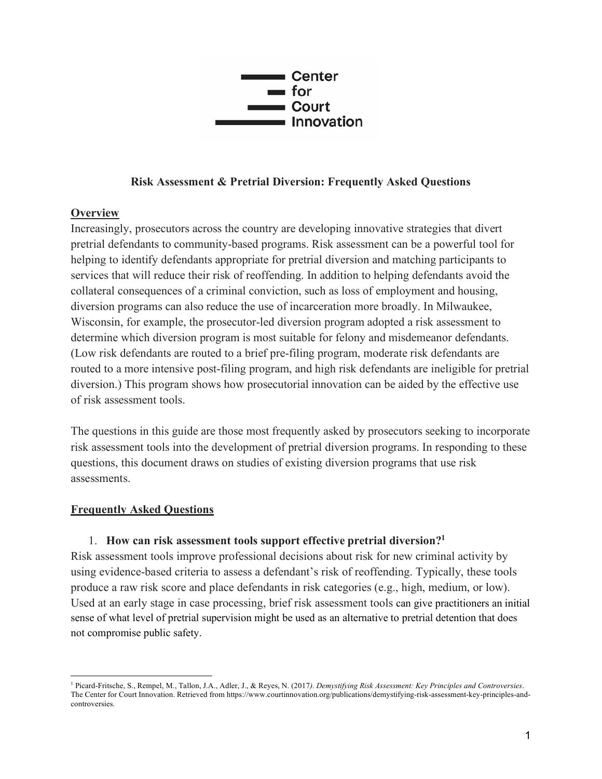

### **Risk Assessment & Pretrial Diversion: Frequently Asked Questions**

### **Overview**

Increasingly, prosecutors across the country are developing innovative strategies that divert pretrial defendants to community-based programs. Risk assessment can be a powerful tool for helping to identify defendants appropriate for pretrial diversion and matching participants to services that will reduce their risk of reoffending. In addition to helping defendants avoid the collateral consequences of a criminal conviction, such as loss of employment and housing, diversion programs can also reduce the use of incarceration more broadly. In Milwaukee, Wisconsin, for example, the prosecutor-led diversion program adopted a risk assessment to determine which diversion program is most suitable for felony and misdemeanor defendants. (Low risk defendants are routed to a brief pre-filing program, moderate risk defendants are routed to a more intensive post-filing program, and high risk defendants are ineligible for pretrial diversion.) This program shows how prosecutorial innovation can be aided by the effective use of risk assessment tools.

The questions in this guide are those most frequently asked by prosecutors seeking to incorporate risk assessment tools into the development of pretrial diversion programs. In responding to these questions, this document draws on studies of existing diversion programs that use risk assessments.

### **Frequently Asked Questions**

### 1. **How can risk assessment tools support effective pretrial diversion?1**

Risk assessment tools improve professional decisions about risk for new criminal activity by using evidence-based criteria to assess a defendant's risk of reoffending. Typically, these tools produce a raw risk score and place defendants in risk categories (e.g., high, medium, or low). Used at an early stage in case processing, brief risk assessment tools can give practitioners an initial sense of what level of pretrial supervision might be used as an alternative to pretrial detention that does not compromise public safety.

<sup>1</sup> Picard-Fritsche, S., Rempel, M., Tallon, J.A., Adler, J., & Reyes, N. (2017*). Demystifying Risk Assessment: Key Principles and Controversies*. The Center for Court Innovation. Retrieved from https://www.courtinnovation.org/publications/demystifying-risk-assessment-key-principles-andcontroversies.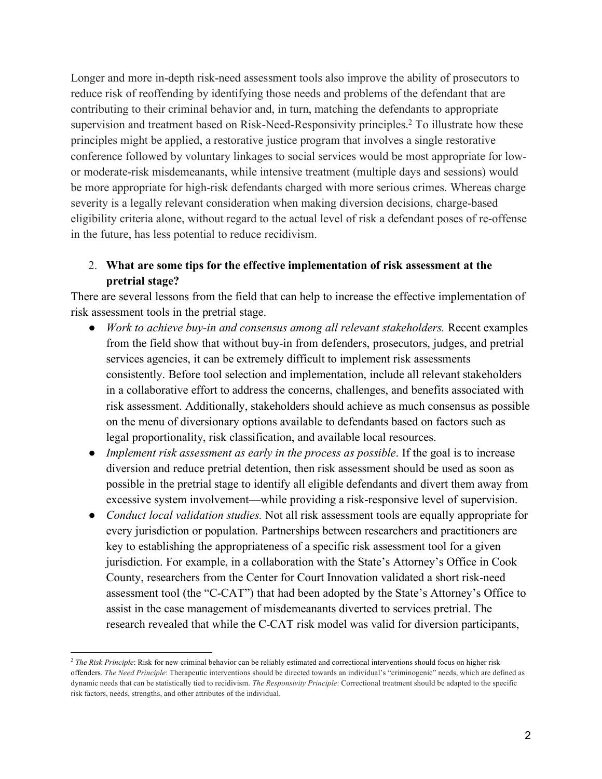Longer and more in-depth risk-need assessment tools also improve the ability of prosecutors to reduce risk of reoffending by identifying those needs and problems of the defendant that are contributing to their criminal behavior and, in turn, matching the defendants to appropriate supervision and treatment based on Risk-Need-Responsivity principles.<sup>2</sup> To illustrate how these principles might be applied, a restorative justice program that involves a single restorative conference followed by voluntary linkages to social services would be most appropriate for lowor moderate-risk misdemeanants, while intensive treatment (multiple days and sessions) would be more appropriate for high-risk defendants charged with more serious crimes. Whereas charge severity is a legally relevant consideration when making diversion decisions, charge-based eligibility criteria alone, without regard to the actual level of risk a defendant poses of re-offense in the future, has less potential to reduce recidivism.

# 2. **What are some tips for the effective implementation of risk assessment at the pretrial stage?**

There are several lessons from the field that can help to increase the effective implementation of risk assessment tools in the pretrial stage.

- *Work to achieve buy-in and consensus among all relevant stakeholders.* Recent examples from the field show that without buy-in from defenders, prosecutors, judges, and pretrial services agencies, it can be extremely difficult to implement risk assessments consistently. Before tool selection and implementation, include all relevant stakeholders in a collaborative effort to address the concerns, challenges, and benefits associated with risk assessment. Additionally, stakeholders should achieve as much consensus as possible on the menu of diversionary options available to defendants based on factors such as legal proportionality, risk classification, and available local resources.
- *Implement risk assessment as early in the process as possible*. If the goal is to increase diversion and reduce pretrial detention, then risk assessment should be used as soon as possible in the pretrial stage to identify all eligible defendants and divert them away from excessive system involvement—while providing a risk-responsive level of supervision.
- *Conduct local validation studies.* Not all risk assessment tools are equally appropriate for every jurisdiction or population. Partnerships between researchers and practitioners are key to establishing the appropriateness of a specific risk assessment tool for a given jurisdiction. For example, in a collaboration with the State's Attorney's Office in Cook County, researchers from the Center for Court Innovation validated a short risk-need assessment tool (the "C-CAT") that had been adopted by the State's Attorney's Office to assist in the case management of misdemeanants diverted to services pretrial. The research revealed that while the C-CAT risk model was valid for diversion participants,

<sup>&</sup>lt;sup>2</sup> The Risk Principle: Risk for new criminal behavior can be reliably estimated and correctional interventions should focus on higher risk offenders. *The Need Principle*: Therapeutic interventions should be directed towards an individual's "criminogenic" needs, which are defined as dynamic needs that can be statistically tied to recidivism. *The Responsivity Principle*: Correctional treatment should be adapted to the specific risk factors, needs, strengths, and other attributes of the individual.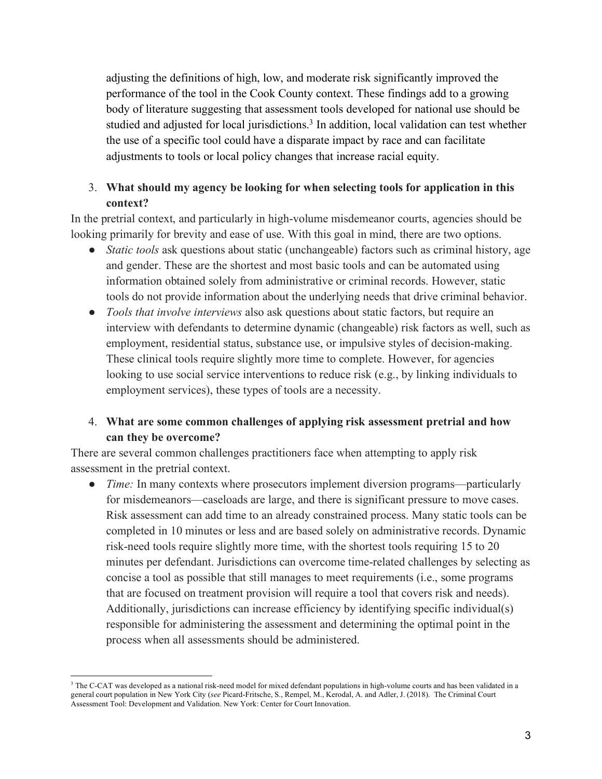adjusting the definitions of high, low, and moderate risk significantly improved the performance of the tool in the Cook County context. These findings add to a growing body of literature suggesting that assessment tools developed for national use should be studied and adjusted for local jurisdictions.<sup>3</sup> In addition, local validation can test whether the use of a specific tool could have a disparate impact by race and can facilitate adjustments to tools or local policy changes that increase racial equity.

# 3. **What should my agency be looking for when selecting tools for application in this context?**

In the pretrial context, and particularly in high-volume misdemeanor courts, agencies should be looking primarily for brevity and ease of use. With this goal in mind, there are two options.

- *Static tools* ask questions about static (unchangeable) factors such as criminal history, age and gender. These are the shortest and most basic tools and can be automated using information obtained solely from administrative or criminal records. However, static tools do not provide information about the underlying needs that drive criminal behavior.
- *Tools that involve interviews* also ask questions about static factors, but require an interview with defendants to determine dynamic (changeable) risk factors as well, such as employment, residential status, substance use, or impulsive styles of decision-making. These clinical tools require slightly more time to complete. However, for agencies looking to use social service interventions to reduce risk (e.g., by linking individuals to employment services), these types of tools are a necessity.

# 4. **What are some common challenges of applying risk assessment pretrial and how can they be overcome?**

There are several common challenges practitioners face when attempting to apply risk assessment in the pretrial context.

• *Time:* In many contexts where prosecutors implement diversion programs—particularly for misdemeanors—caseloads are large, and there is significant pressure to move cases. Risk assessment can add time to an already constrained process. Many static tools can be completed in 10 minutes or less and are based solely on administrative records. Dynamic risk-need tools require slightly more time, with the shortest tools requiring 15 to 20 minutes per defendant. Jurisdictions can overcome time-related challenges by selecting as concise a tool as possible that still manages to meet requirements (i.e., some programs that are focused on treatment provision will require a tool that covers risk and needs). Additionally, jurisdictions can increase efficiency by identifying specific individual(s) responsible for administering the assessment and determining the optimal point in the process when all assessments should be administered.

<sup>3</sup> The C-CAT was developed as a national risk-need model for mixed defendant populations in high-volume courts and has been validated in a general court population in New York City (*see* Picard-Fritsche, S., Rempel, M., Kerodal, A. and Adler, J. (2018). The Criminal Court Assessment Tool: Development and Validation. New York: Center for Court Innovation.